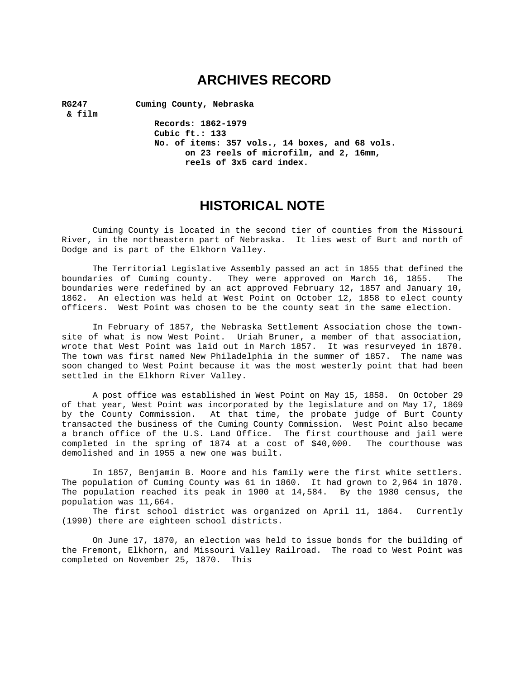# **ARCHIVES RECORD**

 **& film** 

**RG247 Cuming County, Nebraska** 

**Records: 1862-1979 Cubic ft.: 133 No. of items: 357 vols., 14 boxes, and 68 vols. on 23 reels of microfilm, and 2, 16mm, reels of 3x5 card index.** 

# **HISTORICAL NOTE**

Cuming County is located in the second tier of counties from the Missouri River, in the northeastern part of Nebraska. It lies west of Burt and north of Dodge and is part of the Elkhorn Valley.

The Territorial Legislative Assembly passed an act in 1855 that defined the boundaries of Cuming county. They were approved on March 16, 1855. The boundaries were redefined by an act approved February 12, 1857 and January 10, 1862. An election was held at West Point on October 12, 1858 to elect county officers. West Point was chosen to be the county seat in the same election.

In February of 1857, the Nebraska Settlement Association chose the townsite of what is now West Point. Uriah Bruner, a member of that association, wrote that West Point was laid out in March 1857. It was resurveyed in 1870. The town was first named New Philadelphia in the summer of 1857. The name was soon changed to West Point because it was the most westerly point that had been settled in the Elkhorn River Valley.

A post office was established in West Point on May 15, 1858. On October 29 of that year, West Point was incorporated by the legislature and on May 17, 1869 by the County Commission. At that time, the probate judge of Burt County transacted the business of the Cuming County Commission. West Point also became a branch office of the U.S. Land Office. The first courthouse and jail were completed in the spring of 1874 at a cost of \$40,000. The courthouse was demolished and in 1955 a new one was built.

In 1857, Benjamin B. Moore and his family were the first white settlers. The population of Cuming County was 61 in 1860. It had grown to 2,964 in 1870. The population reached its peak in 1900 at 14,584. By the 1980 census, the population was 11,664.

The first school district was organized on April 11, 1864. Currently (1990) there are eighteen school districts.

On June 17, 1870, an election was held to issue bonds for the building of the Fremont, Elkhorn, and Missouri Valley Railroad. The road to West Point was completed on November 25, 1870. This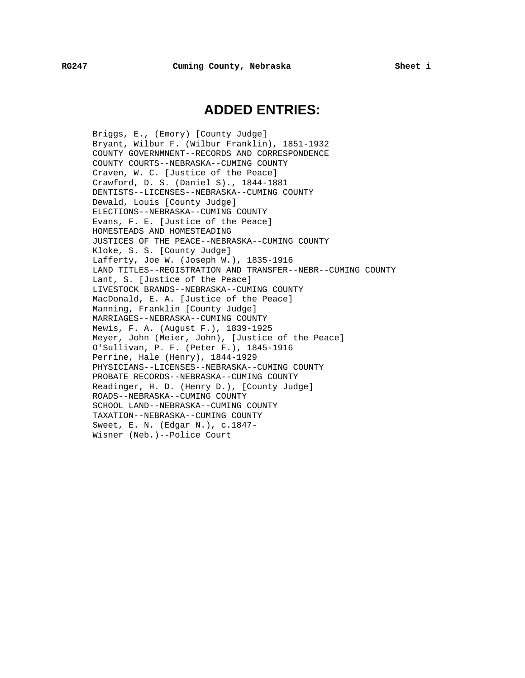# **ADDED ENTRIES:**

Briggs, E., (Emory) [County Judge] Bryant, Wilbur F. (Wilbur Franklin), 1851-1932 COUNTY GOVERNMNENT--RECORDS AND CORRESPONDENCE COUNTY COURTS--NEBRASKA--CUMING COUNTY Craven, W. C. [Justice of the Peace] Crawford, D. S. (Daniel S)., 1844-1881 DENTISTS--LICENSES--NEBRASKA--CUMING COUNTY Dewald, Louis [County Judge] ELECTIONS--NEBRASKA--CUMING COUNTY Evans, F. E. [Justice of the Peace] HOMESTEADS AND HOMESTEADING JUSTICES OF THE PEACE--NEBRASKA--CUMING COUNTY Kloke, S. S. [County Judge] Lafferty, Joe W. (Joseph W.), 1835-1916 LAND TITLES--REGISTRATION AND TRANSFER--NEBR--CUMING COUNTY Lant, S. [Justice of the Peace] LIVESTOCK BRANDS--NEBRASKA--CUMING COUNTY MacDonald, E. A. [Justice of the Peace] Manning, Franklin [County Judge] MARRIAGES--NEBRASKA--CUMING COUNTY Mewis, F. A. (August F.), 1839-1925 Meyer, John (Meier, John), [Justice of the Peace] O'Sullivan, P. F. (Peter F.), 1845-1916 Perrine, Hale (Henry), 1844-1929 PHYSICIANS--LICENSES--NEBRASKA--CUMING COUNTY PROBATE RECORDS--NEBRASKA--CUMING COUNTY Readinger, H. D. (Henry D.), [County Judge] ROADS--NEBRASKA--CUMING COUNTY SCHOOL LAND--NEBRASKA--CUMING COUNTY TAXATION--NEBRASKA--CUMING COUNTY Sweet, E. N. (Edgar N.), c.1847- Wisner (Neb.)--Police Court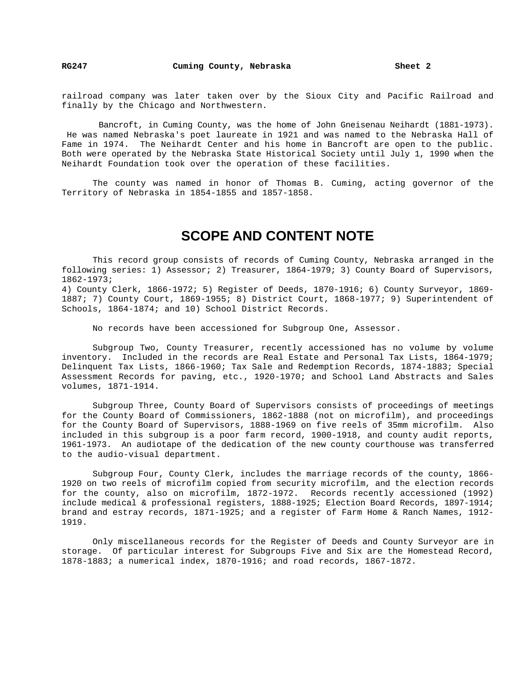railroad company was later taken over by the Sioux City and Pacific Railroad and finally by the Chicago and Northwestern.

 Bancroft, in Cuming County, was the home of John Gneisenau Neihardt (1881-1973). He was named Nebraska's poet laureate in 1921 and was named to the Nebraska Hall of Fame in 1974. The Neihardt Center and his home in Bancroft are open to the public. Both were operated by the Nebraska State Historical Society until July 1, 1990 when the Neihardt Foundation took over the operation of these facilities.

The county was named in honor of Thomas B. Cuming, acting governor of the Territory of Nebraska in 1854-1855 and 1857-1858.

# **SCOPE AND CONTENT NOTE**

This record group consists of records of Cuming County, Nebraska arranged in the following series: 1) Assessor; 2) Treasurer, 1864-1979; 3) County Board of Supervisors, 1862-1973;

4) County Clerk, 1866-1972; 5) Register of Deeds, 1870-1916; 6) County Surveyor, 1869- 1887; 7) County Court, 1869-1955; 8) District Court, 1868-1977; 9) Superintendent of Schools, 1864-1874; and 10) School District Records.

No records have been accessioned for Subgroup One, Assessor.

Subgroup Two, County Treasurer, recently accessioned has no volume by volume inventory. Included in the records are Real Estate and Personal Tax Lists, 1864-1979; Delinquent Tax Lists, 1866-1960; Tax Sale and Redemption Records, 1874-1883; Special Assessment Records for paving, etc., 1920-1970; and School Land Abstracts and Sales volumes, 1871-1914.

Subgroup Three, County Board of Supervisors consists of proceedings of meetings for the County Board of Commissioners, 1862-1888 (not on microfilm), and proceedings for the County Board of Supervisors, 1888-1969 on five reels of 35mm microfilm. Also included in this subgroup is a poor farm record, 1900-1918, and county audit reports, 1961-1973. An audiotape of the dedication of the new county courthouse was transferred to the audio-visual department.

Subgroup Four, County Clerk, includes the marriage records of the county, 1866- 1920 on two reels of microfilm copied from security microfilm, and the election records for the county, also on microfilm, 1872-1972. Records recently accessioned (1992) include medical & professional registers, 1888-1925; Election Board Records, 1897-1914; brand and estray records, 1871-1925; and a register of Farm Home & Ranch Names, 1912- 1919.

Only miscellaneous records for the Register of Deeds and County Surveyor are in storage. Of particular interest for Subgroups Five and Six are the Homestead Record, 1878-1883; a numerical index, 1870-1916; and road records, 1867-1872.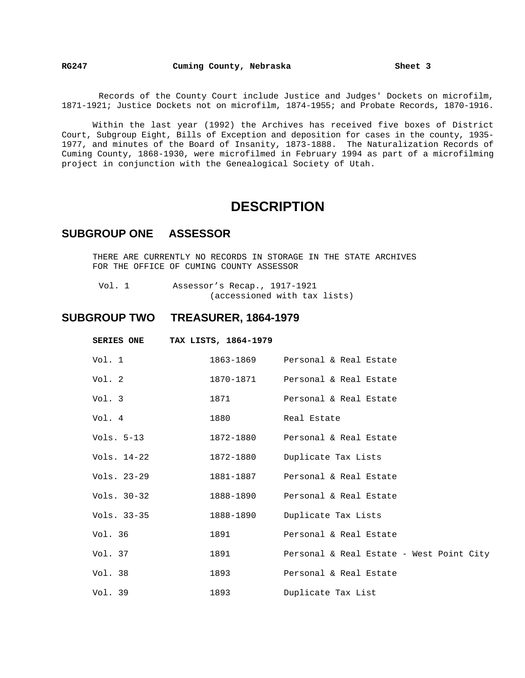**RG247 Cuming County, Nebraska Sheet 3** 

Records of the County Court include Justice and Judges' Dockets on microfilm, 1871-1921; Justice Dockets not on microfilm, 1874-1955; and Probate Records, 1870-1916.

Within the last year (1992) the Archives has received five boxes of District Court, Subgroup Eight, Bills of Exception and deposition for cases in the county, 1935- 1977, and minutes of the Board of Insanity, 1873-1888. The Naturalization Records of Cuming County, 1868-1930, were microfilmed in February 1994 as part of a microfilming project in conjunction with the Genealogical Society of Utah.

# **DESCRIPTION**

## **SUBGROUP ONE ASSESSOR**

THERE ARE CURRENTLY NO RECORDS IN STORAGE IN THE STATE ARCHIVES FOR THE OFFICE OF CUMING COUNTY ASSESSOR

 Vol. 1 Assessor's Recap., 1917-1921 (accessioned with tax lists)

# **SUBGROUP TWO TREASURER, 1864-1979**

| <b>SERIES ONE</b> | TAX LISTS, 1864-1979 |                                          |
|-------------------|----------------------|------------------------------------------|
| Vol. 1            |                      | 1863-1869 Personal & Real Estate         |
| Vol. 2            | 1870-1871            | Personal & Real Estate                   |
| Vol. 3            | 1871                 | Personal & Real Estate                   |
| Vol. 4            | 1880                 | Real Estate                              |
| Vols. 5-13        | 1872-1880            | Personal & Real Estate                   |
| Vols. 14-22       | 1872-1880            | Duplicate Tax Lists                      |
| Vols. 23-29       | 1881-1887            | Personal & Real Estate                   |
| Vols. 30-32       | 1888-1890            | Personal & Real Estate                   |
| Vols. 33-35       | 1888-1890            | Duplicate Tax Lists                      |
| Vol. 36           | 1891                 | Personal & Real Estate                   |
| Vol. 37           | 1891                 | Personal & Real Estate - West Point City |
| Vol. 38           | 1893                 | Personal & Real Estate                   |
| Vol. 39           | 1893                 | Duplicate Tax List                       |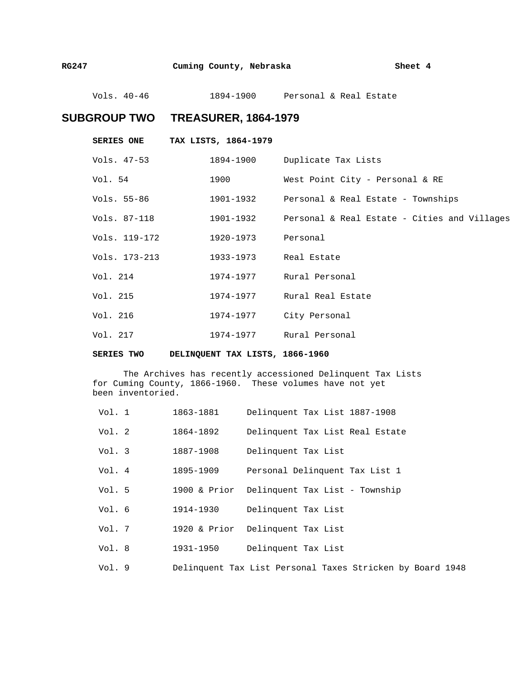Vols. 40-46 1894-1900 Personal & Real Estate

# **SUBGROUP TWO TREASURER, 1864-1979**

|               | SERIES ONE TAX LISTS, 1864-1979 |                                                            |
|---------------|---------------------------------|------------------------------------------------------------|
| Vols. 47-53   |                                 | 1894-1900 Duplicate Tax Lists                              |
| Vol. 54       | 1900                            | West Point City - Personal & RE                            |
| Vols. 55-86   |                                 | 1901-1932 Personal & Real Estate - Townships               |
| Vols. 87-118  |                                 | 1901-1932     Personal & Real Estate - Cities and Villages |
| Vols. 119-172 | 1920-1973 Personal              |                                                            |
| Vols. 173-213 | 1933-1973 Real Estate           |                                                            |
| Vol. 214      |                                 | 1974-1977 Rural Personal                                   |
| Vol. 215      |                                 | 1974-1977 Rural Real Estate                                |
| Vol. 216      |                                 | 1974-1977 City Personal                                    |
| Vol. 217      | 1974-1977   Rural Personal      |                                                            |

**SERIES TWO DELINQUENT TAX LISTS, 1866-1960** 

The Archives has recently accessioned Delinquent Tax Lists for Cuming County, 1866-1960. These volumes have not yet been inventoried.

| Vol. 1 | 1863-1881    | Delinquent Tax List 1887-1908                             |
|--------|--------------|-----------------------------------------------------------|
| Vol. 2 | 1864-1892    | Delinquent Tax List Real Estate                           |
| Vol. 3 | 1887-1908    | Delinquent Tax List                                       |
| Vol. 4 | 1895-1909    | Personal Delinquent Tax List 1                            |
| Vol. 5 | 1900 & Prior | Delinquent Tax List - Township                            |
| Vol. 6 | 1914-1930    | Delinquent Tax List                                       |
| Vol.7  | 1920 & Prior | Delinquent Tax List                                       |
| Vol.8  | 1931-1950    | Delinquent Tax List                                       |
| Vol.9  |              | Delinquent Tax List Personal Taxes Stricken by Board 1948 |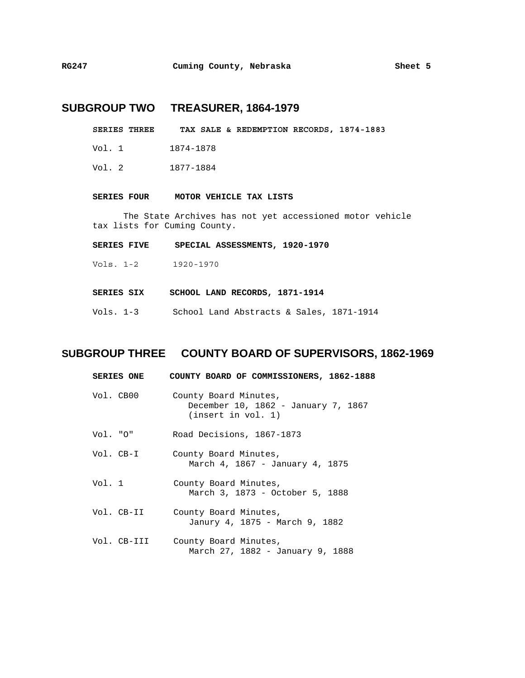# **SUBGROUP TWO TREASURER, 1864-1979**

- **SERIES THREE TAX SALE & REDEMPTION RECORDS, 1874-1883**
- Vol. 1 1874-1878
- Vol. 2 1877-1884

#### **SERIES FOUR MOTOR VEHICLE TAX LISTS**

The State Archives has not yet accessioned motor vehicle tax lists for Cuming County.

- **SERIES FIVE SPECIAL ASSESSMENTS, 1920-1970**
- Vols. 1-2 1920-1970
- **SERIES SIX SCHOOL LAND RECORDS, 1871-1914**
- Vols. 1-3 School Land Abstracts & Sales, 1871-1914

## **SUBGROUP THREE COUNTY BOARD OF SUPERVISORS, 1862-1969**

| <b>SERIES ONE</b> | COUNTY BOARD OF COMMISSIONERS, 1862-1888                                          |
|-------------------|-----------------------------------------------------------------------------------|
| Vol. CB00         | County Board Minutes,<br>December 10, 1862 - January 7, 1867<br>(inset in vol. 1) |
| Vol. "O"          | Road Decisions, 1867-1873                                                         |
| Vol. CB-I         | County Board Minutes,<br>March 4, 1867 - January 4, 1875                          |
| Vol. 1            | County Board Minutes,<br>March 3, 1873 - October 5, 1888                          |
| Vol. CB-II        | County Board Minutes,<br>Janury 4, 1875 - March 9, 1882                           |
| Vol. CB-III       | County Board Minutes,<br>March 27, 1882 - January 9, 1888                         |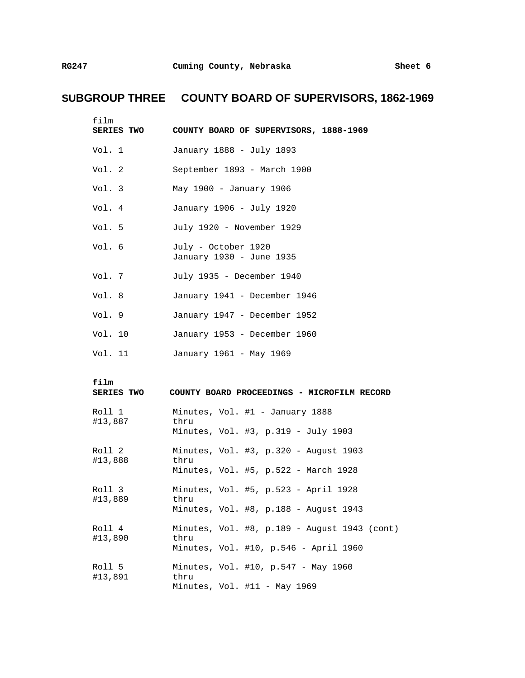# **SUBGROUP THREE COUNTY BOARD OF SUPERVISORS, 1862-1969**

| film<br>SERIES TWO        | COUNTY BOARD OF SUPERVISORS, 1888-1969               |
|---------------------------|------------------------------------------------------|
| Vol. 1                    | January 1888 - July 1893                             |
| Vol. 2                    | September 1893 - March 1900                          |
| Vol. 3                    | May 1900 - January 1906                              |
| Vol. 4                    | January 1906 - July 1920                             |
| Vol. 5                    | July 1920 - November 1929                            |
| Vol. 6                    | July - October 1920<br>January 1930 - June 1935      |
| Vol. 7                    | July 1935 - December 1940                            |
| Vol. 8                    | January 1941 - December 1946                         |
| Vol. 9                    | January 1947 - December 1952                         |
| Vol. 10                   | January 1953 - December 1960                         |
| Vol. 11                   | January 1961 - May 1969                              |
| film<br><b>SERIES TWO</b> | COUNTY BOARD PROCEEDINGS - MICROFILM RECORD          |
| Roll 1<br>#13,887         | Minutes, Vol. #1 - January 1888<br>thru              |
|                           | Minutes, Vol. #3, p.319 - July 1903                  |
| Roll 2<br>#13,888         | Minutes, Vol. #3, p.320 - August 1903<br>thru        |
|                           | Minutes, Vol. #5, p.522 - March 1928                 |
| Roll 3                    |                                                      |
| #13,889                   | Minutes, Vol. #5, p.523 - April 1928<br>thru         |
|                           | Minutes, Vol. #8, p.188 - August 1943                |
| Roll 4                    | Minutes, Vol. #8, p.189 - August 1943 (cont)<br>thru |
| #13,890                   | Minutes, Vol. #10, p.546 - April 1960                |
| Roll 5<br>#13,891         | Minutes, Vol. #10, p.547 - May 1960<br>thru          |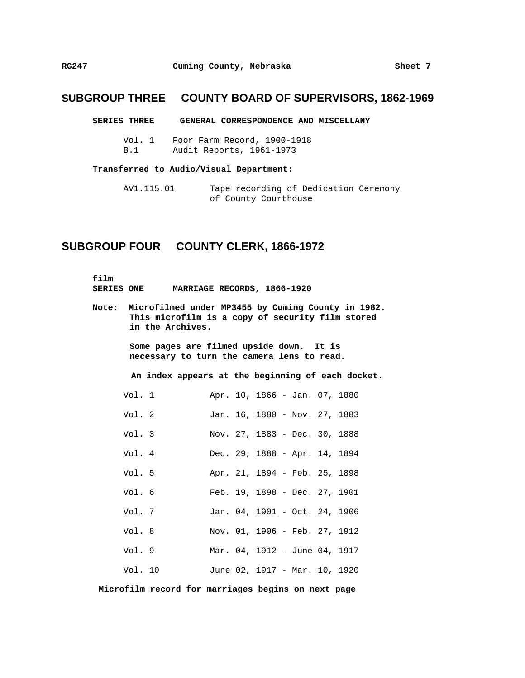# **SUBGROUP THREE COUNTY BOARD OF SUPERVISORS, 1862-1969**

#### **SERIES THREE GENERAL CORRESPONDENCE AND MISCELLANY**

Vol. 1 Poor Farm Record, 1900-1918 B.1 Audit Reports, 1961-1973

#### **Transferred to Audio/Visual Department:**

AV1.115.01 Tape recording of Dedication Ceremony of County Courthouse

## **SUBGROUP FOUR COUNTY CLERK, 1866-1972**

**film SERIES ONE MARRIAGE RECORDS, 1866-1920** 

**Note: Microfilmed under MP3455 by Cuming County in 1982. This microfilm is a copy of security film stored in the Archives.** 

> **Some pages are filmed upside down. It is necessary to turn the camera lens to read.**

 **An index appears at the beginning of each docket.** 

| Vol. 1  |  |  |                               | Apr. 10, 1866 - Jan. 07, 1880 |
|---------|--|--|-------------------------------|-------------------------------|
| Vol. 2  |  |  |                               | Jan. 16, 1880 - Nov. 27, 1883 |
| Vol. 3  |  |  | Nov. 27, 1883 - Dec. 30, 1888 |                               |
| Vol. 4  |  |  | Dec. 29, 1888 - Apr. 14, 1894 |                               |
| Vol. 5  |  |  | Apr. 21, 1894 - Feb. 25, 1898 |                               |
| Vol. 6  |  |  | Feb. 19, 1898 - Dec. 27, 1901 |                               |
| Vol. 7  |  |  | Jan. 04, 1901 - Oct. 24, 1906 |                               |
| Vol. 8  |  |  | Nov. 01, 1906 - Feb. 27, 1912 |                               |
| Vol. 9  |  |  |                               | Mar. 04, 1912 - June 04, 1917 |
| Vol. 10 |  |  |                               | June 02, 1917 - Mar. 10, 1920 |

 **Microfilm record for marriages begins on next page**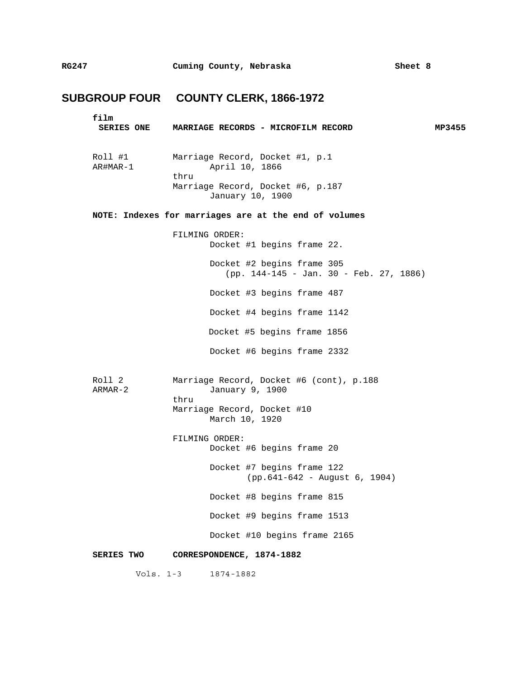# **SUBGROUP FOUR COUNTY CLERK, 1866-1972**

| film<br><b>SERIES ONE</b> | MARRIAGE RECORDS - MICROFILM RECORD                                   | MP3455 |
|---------------------------|-----------------------------------------------------------------------|--------|
| Roll #1<br>AR#MAR-1       | Marriage Record, Docket #1, p.1<br>April 10, 1866<br>thru             |        |
|                           | Marriage Record, Docket #6, p.187<br>January 10, 1900                 |        |
|                           | NOTE: Indexes for marriages are at the end of volumes                 |        |
|                           | FILMING ORDER:<br>Docket #1 begins frame 22.                          |        |
|                           | Docket #2 begins frame 305<br>(pp. 144-145 - Jan. 30 - Feb. 27, 1886) |        |
|                           | Docket #3 begins frame 487                                            |        |
|                           | Docket #4 begins frame 1142                                           |        |
|                           | Docket #5 begins frame 1856                                           |        |
|                           | Docket #6 begins frame 2332                                           |        |
| Roll 2<br>ARMAR-2         | Marriage Record, Docket #6 (cont), p.188<br>January 9, 1900           |        |
|                           | thru<br>Marriage Record, Docket #10<br>March 10, 1920                 |        |
|                           | FILMING ORDER:<br>Docket #6 begins frame 20                           |        |
|                           | Docket #7 begins frame 122<br>(pp. 641-642 - August 6, 1904)          |        |
|                           | Docket #8 begins frame 815                                            |        |
|                           | Docket #9 begins frame 1513                                           |        |
|                           | Docket #10 begins frame 2165                                          |        |
| <b>SERIES TWO</b>         | CORRESPONDENCE, 1874-1882                                             |        |
| Vols. $1-3$               | 1874-1882                                                             |        |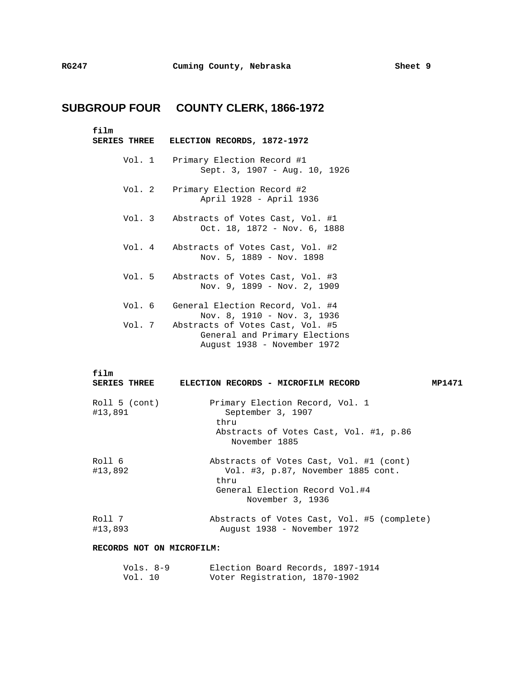# **SUBGROUP FOUR COUNTY CLERK, 1866-1972**

**film** 

| ELECTION RECORDS, 1872-1972<br><b>SERIES THREE</b> |  |  |  |  |  |
|----------------------------------------------------|--|--|--|--|--|
|----------------------------------------------------|--|--|--|--|--|

- Vol. 1 Primary Election Record #1 Sept. 3, 1907 - Aug. 10, 1926
- Vol. 2 Primary Election Record #2 April 1928 - April 1936
- Vol. 3 Abstracts of Votes Cast, Vol. #1 Oct. 18, 1872 - Nov. 6, 1888
- Vol. 4 Abstracts of Votes Cast, Vol. #2 Nov. 5, 1889 - Nov. 1898
- Vol. 5 Abstracts of Votes Cast, Vol. #3 Nov. 9, 1899 - Nov. 2, 1909
- Vol. 6 General Election Record, Vol. #4 Nov. 8, 1910 - Nov. 3, 1936 Vol. 7 Abstracts of Votes Cast, Vol. #5 General and Primary Elections August 1938 - November 1972

| film<br><b>SERIES THREE</b> | ELECTION RECORDS - MICROFILM RECORD                                                                                                         | MP1471 |
|-----------------------------|---------------------------------------------------------------------------------------------------------------------------------------------|--------|
| Roll 5 (cont)<br>#13,891    | Primary Election Record, Vol. 1<br>September 3, 1907<br>thru<br>Abstracts of Votes Cast, Vol. #1, p.86<br>November 1885                     |        |
| Roll 6<br>#13,892           | Abstracts of Votes Cast, Vol. #1 (cont)<br>Vol. #3, p.87, November 1885 cont.<br>thru<br>General Election Record Vol.#4<br>November 3, 1936 |        |
| Roll 7<br>#13,893           | Abstracts of Votes Cast, Vol. #5 (complete)<br>August 1938 - November 1972                                                                  |        |

#### **RECORDS NOT ON MICROFILM:**

| Vols. 8-9 | Election Board Records, 1897-1914 |  |
|-----------|-----------------------------------|--|
| Vol. 10   | Voter Registration, 1870-1902     |  |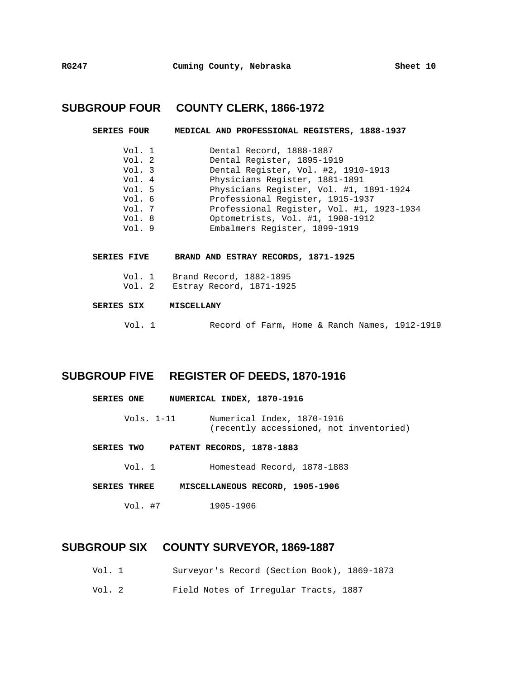# **SUBGROUP FOUR COUNTY CLERK, 1866-1972**

| <b>SERIES FOUR</b>     | MEDICAL AND PROFESSIONAL REGISTERS, 1888-1937          |
|------------------------|--------------------------------------------------------|
| Vol. 1<br>Vol. 2       | Dental Record, 1888-1887<br>Dental Register, 1895-1919 |
| Vol. 3                 | Dental Register, Vol. #2, 1910-1913                    |
| Vol. 4                 | Physicians Register, 1881-1891                         |
| Vol. 5                 | Physicians Register, Vol. #1, 1891-1924                |
| Vol. 6                 | Professional Register, 1915-1937                       |
| Vol. 7                 | Professional Register, Vol. #1, 1923-1934              |
| Vol. 8                 | Optometrists, Vol. #1, 1908-1912                       |
| Vol.9                  | Embalmers Register, 1899-1919                          |
|                        |                                                        |
| <b>CFDTFC</b><br>67176 | 1871_1025<br>REAND AND FETEAV PFCOPDE                  |

- **SERIES FIVE BRAND AND ESTRAY RECORDS, 1871-1925** 
	- Vol. 1 Brand Record, 1882-1895
	- Vol. 2 Estray Record, 1871-1925

### **SERIES SIX MISCELLANY**

Vol. 1 Record of Farm, Home & Ranch Names, 1912-1919

## **SUBGROUP FIVE REGISTER OF DEEDS, 1870-1916**

| <b>SERIES ONE</b> | NUMERICAL INDEX, 1870-1916                                            |
|-------------------|-----------------------------------------------------------------------|
| Vols. $1-11$      | Numerical Index, 1870-1916<br>(recently accessioned, not inventoried) |
| <b>SERIES TWO</b> | PATENT RECORDS, 1878-1883                                             |
| Vol. 1            | Homestead Record, 1878-1883                                           |

- **SERIES THREE MISCELLANEOUS RECORD, 1905-1906** 
	- Vol. #7 1905-1906

## **SUBGROUP SIX COUNTY SURVEYOR, 1869-1887**

- Vol. 1 Surveyor's Record (Section Book), 1869-1873
- Vol. 2 Field Notes of Irregular Tracts, 1887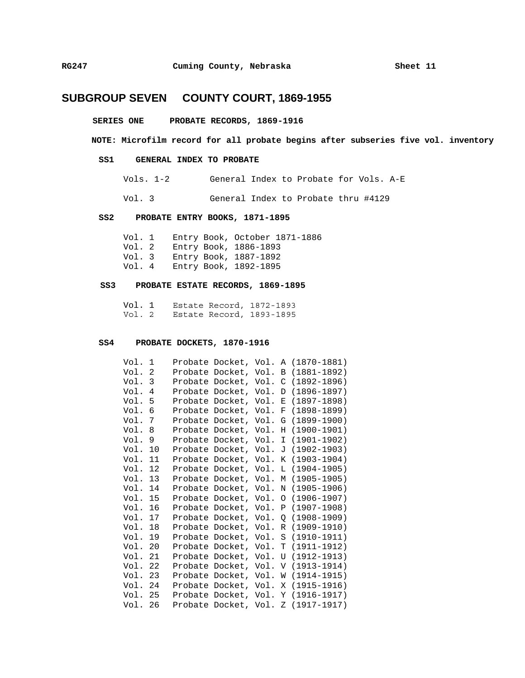#### **SERIES ONE PROBATE RECORDS, 1869-1916**

### **NOTE: Microfilm record for all probate begins after subseries five vol. inventory**

### **SS1 GENERAL INDEX TO PROBATE**

Vols. 1-2 General Index to Probate for Vols. A-E

Vol. 3 General Index to Probate thru #4129

### **SS2 PROBATE ENTRY BOOKS, 1871-1895**

Vol. 1 Entry Book, October 1871-1886 Vol. 2 Entry Book, 1886-1893 Vol. 3 Entry Book, 1887-1892 Entry Book, 1892-1895

#### **SS3 PROBATE ESTATE RECORDS, 1869-1895**

 Vol. 1 Estate Record, 1872-1893 Vol. 2 Estate Record, 1893-1895

#### **SS4 PROBATE DOCKETS, 1870-1916**

| Vol.    | 1              | Probate Docket, Vol. A |      |          | $(1870 - 1881)$ |
|---------|----------------|------------------------|------|----------|-----------------|
| Vol.    | $\overline{2}$ | Probate Docket, Vol.   |      | B        | (1881-1892)     |
| Vol. 3  |                | Probate Docket, Vol.   |      | C        | $(1892 - 1896)$ |
| Vol.    | 4              | Probate Docket, Vol.   |      | D        | $(1896 - 1897)$ |
| Vol.    | 5              | Probate Docket, Vol.   |      | Е        | $(1897 - 1898)$ |
| Vol.    | 6              | Probate Docket, Vol.   |      | F        | $(1898 - 1899)$ |
| Vol.    | 7              | Probate Docket, Vol.   |      | G        | $(1899 - 1900)$ |
| Vol.    | 8              | Probate Docket,        | Vol. | Н        | $(1900 - 1901)$ |
| Vol.    | 9              | Probate Docket,        | Vol. | I        | (1901–1902)     |
| Vol.    | 10             | Probate Docket, Vol.   |      | J        | (1902–1903)     |
| Vol.    | 11             | Probate Docket, Vol.   |      | Κ        | $(1903 - 1904)$ |
| Vol.    | 12             | Probate Docket, Vol.   |      | L        | $(1904 - 1905)$ |
| Vol.    | 13             | Probate Docket, Vol.   |      | М        | $(1905 - 1905)$ |
| Vol.    | 14             | Probate Docket, Vol.   |      | N        | $(1905 - 1906)$ |
| Vol.    | 15             | Probate Docket, Vol.   |      | $\Omega$ | $(1906 - 1907)$ |
| Vol.    | 16             | Probate Docket, Vol.   |      | Ρ        | (1907–1908)     |
| Vol.    | 17             | Probate Docket,        | Vol. | 0        | $(1908 - 1909)$ |
| Vol.    | 18             | Probate Docket, Vol.   |      | R        | $(1909 - 1910)$ |
| Vol.    | 19             | Probate Docket,        | Vol. | S        | $(1910 - 1911)$ |
| Vol.    | 20             | Probate Docket,        | Vol. | т        | (1911–1912)     |
| Vol. 21 |                | Probate Docket,        | Vol. | U        | (1912–1913)     |
| Vol.    | 22             | Probate Docket, Vol.   |      | V        | $(1913 - 1914)$ |
| Vol. 23 |                | Probate Docket, Vol.   |      | W        | $(1914 - 1915)$ |
| Vol.    | - 24           | Probate Docket, Vol.   |      | Χ        | $(1915 - 1916)$ |
| Vol.    | 25             | Probate Docket, Vol.   |      | Υ        | $(1916 - 1917)$ |
| Vol.    | 26             | Probate Docket, Vol.   |      | Ζ        | $(1917 - 1917)$ |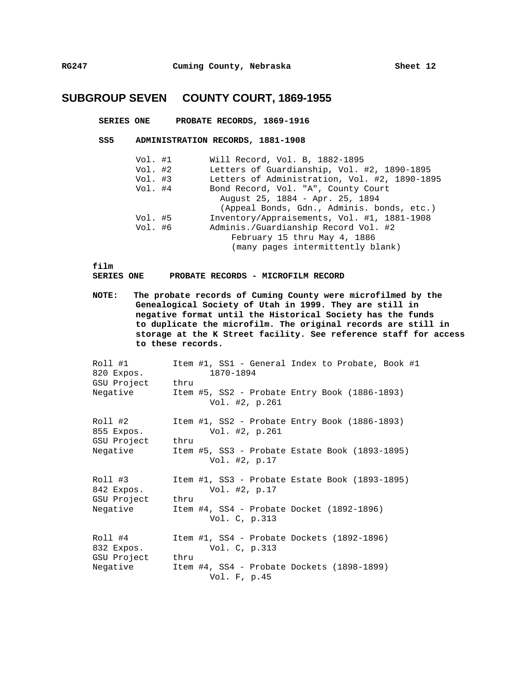### **SERIES ONE PROBATE RECORDS, 1869-1916**

#### **SS5 ADMINISTRATION RECORDS, 1881-1908**

| Vol. #1 | Will Record, Vol. B, 1882-1895                |
|---------|-----------------------------------------------|
| Vol. #2 | Letters of Guardianship, Vol. #2, 1890-1895   |
| Vol. #3 | Letters of Administration, Vol. #2, 1890-1895 |
| Vol. #4 | Bond Record, Vol. "A", County Court           |
|         | August 25, 1884 - Apr. 25, 1894               |
|         | (Appeal Bonds, Gdn., Adminis. bonds, etc.)    |
| Vol. #5 | Inventory/Appraisements, Vol. #1, 1881-1908   |
| Vol. #6 | Adminis./Guardianship Record Vol. #2          |
|         | February 15 thru May 4, 1886                  |
|         | (many pages intermittently blank)             |

**film** 

**SERIES ONE PROBATE RECORDS - MICROFILM RECORD** 

**NOTE: The probate records of Cuming County were microfilmed by the Genealogical Society of Utah in 1999. They are still in negative format until the Historical Society has the funds to duplicate the microfilm. The original records are still in storage at the K Street facility. See reference staff for access to these records.** 

| Roll #1<br>820 Expos. | Item #1, SS1 - General Index to Probate, Book #1<br>1870-1894     |
|-----------------------|-------------------------------------------------------------------|
| GSU Project           | thru                                                              |
| Negative              | Item #5, SS2 - Probate Entry Book (1886-1893)<br>Vol. #2, p.261   |
| Roll #2<br>855 Expos. | Item #1, SS2 - Probate Entry Book (1886-1893)<br>Vol. #2, p.261   |
| GSU Project           | thru                                                              |
| Negative              | Item #5, SS3 - Probate Estate Book (1893-1895)<br>Vol. $#2, p.17$ |
| Roll #3<br>842 Expos. | Item #1, SS3 - Probate Estate Book (1893-1895)<br>Vol. #2, p.17   |
| GSU Project           | thru                                                              |
| Negative              | Item #4, SS4 - Probate Docket (1892-1896)<br>Vol. C, p.313        |
| Roll #4<br>832 Expos. | Item #1, SS4 - Probate Dockets (1892-1896)<br>Vol. C, p.313       |
| GSU Project           | thru                                                              |
| Negative              | Item #4, SS4 - Probate Dockets (1898-1899)<br>Vol. F, p.45        |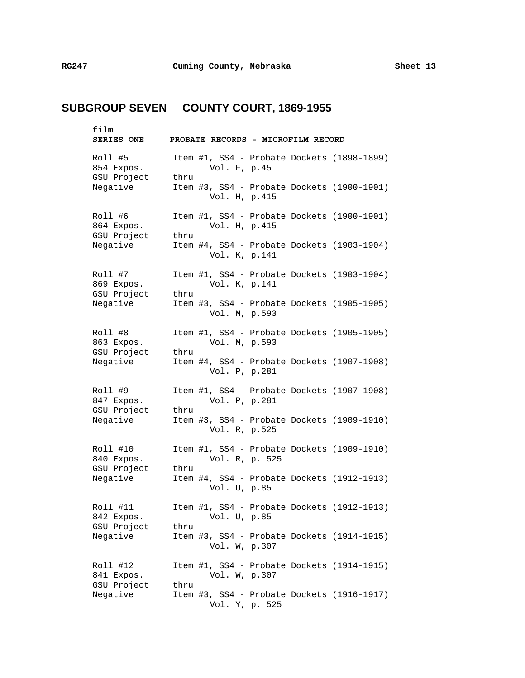| film<br><b>SERIES ONE</b>            |      | PROBATE RECORDS - MICROFILM RECORD |  |                                            |
|--------------------------------------|------|------------------------------------|--|--------------------------------------------|
| Roll #5<br>854 Expos.<br>GSU Project | thru | Vol. F, p.45                       |  | Item #1, SS4 - Probate Dockets (1898-1899) |
| Negative                             |      | Vol. H, p.415                      |  | Item #3, SS4 - Probate Dockets (1900-1901) |
| Roll #6<br>864 Expos.<br>GSU Project | thru | Vol. H, p.415                      |  | Item #1, SS4 - Probate Dockets (1900-1901) |
| Negative                             |      | Vol. K, p.141                      |  | Item #4, SS4 - Probate Dockets (1903-1904) |
| Roll #7<br>869 Expos.<br>GSU Project | thru | Vol. K, p.141                      |  | Item #1, SS4 - Probate Dockets (1903-1904) |
| Negative                             |      | Vol. M, p.593                      |  | Item #3, SS4 - Probate Dockets (1905-1905) |
| Roll #8<br>863 Expos.<br>GSU Project | thru | Vol. M, p.593                      |  | Item #1, SS4 - Probate Dockets (1905-1905) |
| Negative                             |      | Vol. P, p.281                      |  | Item #4, SS4 - Probate Dockets (1907-1908) |
| Roll #9<br>847 Expos.                |      | Vol. P, p.281                      |  | Item #1, SS4 - Probate Dockets (1907-1908) |
| GSU Project<br>Negative              | thru | Vol. R, p.525                      |  | Item #3, SS4 - Probate Dockets (1909-1910) |
| Roll #10<br>840 Expos.               |      | Vol. R, p. 525                     |  | Item #1, SS4 - Probate Dockets (1909-1910) |
| GSU Project<br>Negative              | thru | Vol. U, p.85                       |  | Item #4, SS4 - Probate Dockets (1912-1913) |
| Roll #11<br>842 Expos.               |      | Vol. U, p.85                       |  | Item #1, SS4 - Probate Dockets (1912-1913) |
| GSU Project<br>Negative              | thru | Vol. W, p.307                      |  | Item #3, SS4 - Probate Dockets (1914-1915) |
| Roll #12<br>841 Expos.               |      | Vol. W, p.307                      |  | Item #1, SS4 - Probate Dockets (1914-1915) |
| GSU Project<br>Negative              | thru | Vol. Y, p. 525                     |  | Item #3, SS4 - Probate Dockets (1916-1917) |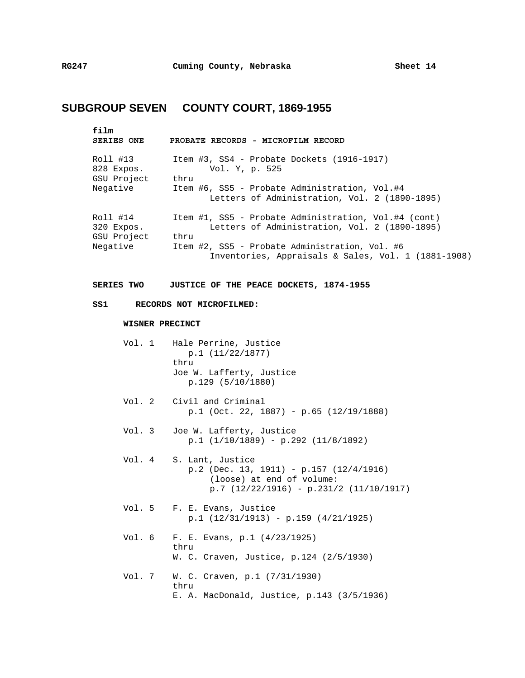| film<br><b>SERIES ONE</b>                         | PROBATE RECORDS - MICROFILM RECORD                                                                                                          |
|---------------------------------------------------|---------------------------------------------------------------------------------------------------------------------------------------------|
| Roll #13<br>828 Expos.<br>GSU Project<br>Negative | Item #3, SS4 - Probate Dockets (1916-1917)<br>Vol. Y, p. 525<br>thru<br>Item #6, SS5 - Probate Administration, Vol.#4                       |
|                                                   | Letters of Administration, Vol. 2 (1890-1895)                                                                                               |
| Roll #14<br>320 Expos.<br>GSU Project             | Item #1, SS5 - Probate Administration, Vol.#4 (cont)<br>Letters of Administration, Vol. 2 (1890-1895)<br>thru                               |
| Negative                                          | Item #2, SS5 - Probate Administration, Vol. #6<br>Inventories, Appraisals & Sales, Vol. 1 (1881-1908)                                       |
| <b>SERIES TWO</b>                                 | JUSTICE OF THE PEACE DOCKETS, 1874-1955                                                                                                     |
| SS1                                               | RECORDS NOT MICROFILMED:                                                                                                                    |
| WISNER PRECINCT                                   |                                                                                                                                             |
|                                                   | Vol. 1 Hale Perrine, Justice<br>p.1(11/22/1877)<br>thru<br>Joe W. Lafferty, Justice<br>p.129(5/10/1880)                                     |
| Vol. 2                                            | Civil and Criminal<br>$p.1$ (Oct. 22, 1887) - $p.65$ (12/19/1888)                                                                           |
| Vol. 3                                            | Joe W. Lafferty, Justice<br>$p.1$ (1/10/1889) - $p.292$ (11/8/1892)                                                                         |
| Vol. 4                                            | S. Lant, Justice<br>$p.2$ (Dec. 13, 1911) - $p.157$ (12/4/1916)<br>(loose) at end of volume:<br>$p.7$ (12/22/1916) - $p.231/2$ (11/10/1917) |
| Vol. 5                                            | F. E. Evans, Justice<br>$p.1$ (12/31/1913) - $p.159$ (4/21/1925)                                                                            |
| Vol. 6                                            | F. E. Evans, p.1 $(4/23/1925)$<br>thru<br>W. C. Craven, Justice, p.124 (2/5/1930)                                                           |
| Vol. 7                                            | W. C. Craven, p.1 $(7/31/1930)$<br>thru<br>E. A. MacDonald, Justice, p.143 (3/5/1936)                                                       |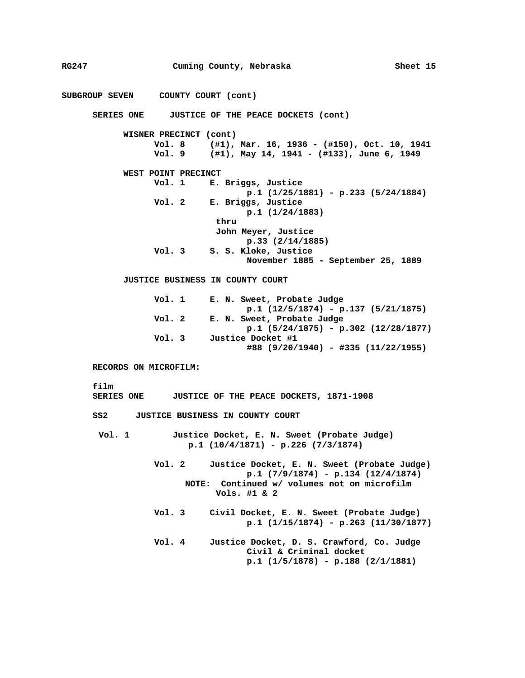**RG247 Cuming County, Nebraska Sheet 15 SUBGROUP SEVEN COUNTY COURT (cont) SERIES ONE JUSTICE OF THE PEACE DOCKETS (cont) WISNER PRECINCT (cont) Vol. 8 (#1), Mar. 16, 1936 - (#150), Oct. 10, 1941 Vol. 9 (#1), May 14, 1941 - (#133), June 6, 1949 WEST POINT PRECINCT Vol. 1 E. Briggs, Justice p.1 (1/25/1881) - p.233 (5/24/1884) Vol. 2 E. Briggs, Justice p.1 (1/24/1883) thru John Meyer, Justice p.33 (2/14/1885) Vol. 3 S. S. Kloke, Justice November 1885 - September 25, 1889 JUSTICE BUSINESS IN COUNTY COURT Vol. 1 E. N. Sweet, Probate Judge p.1 (12/5/1874) - p.137 (5/21/1875) Vol. 2 E. N. Sweet, Probate Judge p.1 (5/24/1875) - p.302 (12/28/1877) Vol. 3 Justice Docket #1 #88 (9/20/1940) - #335 (11/22/1955) RECORDS ON MICROFILM: film SERIES ONE JUSTICE OF THE PEACE DOCKETS, 1871-1908 SS2 JUSTICE BUSINESS IN COUNTY COURT Vol. 1 Justice Docket, E. N. Sweet (Probate Judge) p.1 (10/4/1871) - p.226 (7/3/1874) Vol. 2 Justice Docket, E. N. Sweet (Probate Judge) p.1 (7/9/1874) - p.134 (12/4/1874) NOTE: Continued w/ volumes not on microfilm Vols. #1 & 2 Vol. 3 Civil Docket, E. N. Sweet (Probate Judge) p.1 (1/15/1874) - p.263 (11/30/1877) Vol. 4 Justice Docket, D. S. Crawford, Co. Judge Civil & Criminal docket p.1 (1/5/1878) - p.188 (2/1/1881)**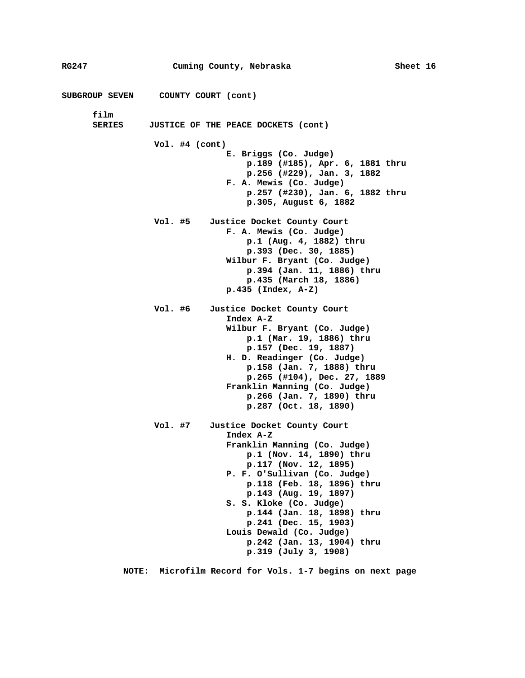| RG247          |                                    | Cuming County, Nebraska                                                                                                                                                                                                                                                                                                                                                                    | Sheet 16 |  |
|----------------|------------------------------------|--------------------------------------------------------------------------------------------------------------------------------------------------------------------------------------------------------------------------------------------------------------------------------------------------------------------------------------------------------------------------------------------|----------|--|
|                | SUBGROUP SEVEN COUNTY COURT (cont) |                                                                                                                                                                                                                                                                                                                                                                                            |          |  |
| film<br>SERIES |                                    | JUSTICE OF THE PEACE DOCKETS (cont)                                                                                                                                                                                                                                                                                                                                                        |          |  |
|                | Vol. $#4$ (cont)                   | E. Briggs (Co. Judge)<br>p.189 (#185), Apr. 6, 1881 thru<br>p.256 (#229), Jan. 3, 1882<br>F. A. Mewis (Co. Judge)<br>$p.257$ (#230), Jan. 6, 1882 thru<br>p.305, August 6, 1882                                                                                                                                                                                                            |          |  |
|                | Vol. #5                            | Justice Docket County Court<br>F. A. Mewis (Co. Judge)<br>p.1 (Aug. 4, 1882) thru<br>p.393 (Dec. 30, 1885)<br>Wilbur F. Bryant (Co. Judge)<br>p.394 (Jan. 11, 1886) thru<br>p.435 (March 18, 1886)<br>$p.435$ (Index, A-Z)                                                                                                                                                                 |          |  |
|                | Vol. #6                            | Justice Docket County Court<br>Index A-Z<br>Wilbur F. Bryant (Co. Judge)<br>p.1 (Mar. 19, 1886) thru<br>p.157 (Dec. 19, 1887)<br>H. D. Readinger (Co. Judge)<br>p.158 (Jan. 7, 1888) thru<br>p.265 (#104), Dec. 27, 1889<br>Franklin Manning (Co. Judge)<br>p.266 (Jan. 7, 1890) thru<br>p.287 (Oct. 18, 1890)                                                                             |          |  |
|                | Vol. #7                            | Justice Docket County Court<br>Index A-Z<br>Franklin Manning (Co. Judge)<br>p.1 (Nov. 14, 1890) thru<br>$p.117$ (Nov. 12, 1895)<br>P. F. O'Sullivan (Co. Judge)<br>p.118 (Feb. 18, 1896) thru<br>p.143 (Aug. 19, 1897)<br>S. S. Kloke (Co. Judge)<br>p.144 (Jan. 18, 1898) thru<br>p.241 (Dec. 15, 1903)<br>Louis Dewald (Co. Judge)<br>p.242 (Jan. 13, 1904) thru<br>p.319 (July 3, 1908) |          |  |

**NOTE: Microfilm Record for Vols. 1-7 begins on next page**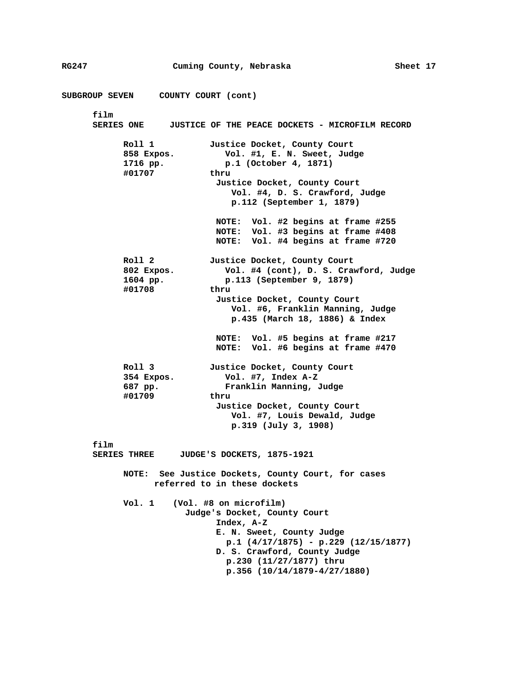| SUBGROUP SEVEN      COUNTY COURT (cont)                                                                                                                                                                                                                          |
|------------------------------------------------------------------------------------------------------------------------------------------------------------------------------------------------------------------------------------------------------------------|
|                                                                                                                                                                                                                                                                  |
| film<br>SERIES ONE JUSTICE OF THE PEACE DOCKETS - MICROFILM RECORD                                                                                                                                                                                               |
| Roll 1<br>Justice Docket, County Court<br>Vol. #1, E. N. Sweet, Judge<br>858 Expos.<br>1716 pp.<br>p.1 (October 4, 1871)<br>#01707<br>thru<br>Justice Docket, County Court<br>Vol. #4, D. S. Crawford, Judge<br>p.112 (September 1, 1879)                        |
| NOTE: Vol. #2 begins at frame #255<br>NOTE: Vol. #3 begins at frame #408<br>NOTE: Vol. #4 begins at frame #720                                                                                                                                                   |
| Roll 2<br>Justice Docket, County Court<br>Vol. #4 (cont), D. S. Crawford, Judge<br>802 Expos.<br>p.113 (September 9, 1879)<br>$1604$ pp.<br>#01708<br>thru<br>Justice Docket, County Court<br>Vol. #6, Franklin Manning, Judge<br>p.435 (March 18, 1886) & Index |
| NOTE: Vol. #5 begins at frame #217<br>NOTE: Vol. #6 begins at frame #470                                                                                                                                                                                         |
| Roll 3<br>Justice Docket, County Court<br>Vol. #7, Index A-Z<br>354 Expos.<br>Franklin Manning, Judge<br>687 pp.<br>#01709<br>thru<br>Justice Docket, County Court<br>Vol. #7, Louis Dewald, Judge<br>$p.319$ (July 3, 1908)                                     |
| film<br>JUDGE'S DOCKETS, 1875-1921<br><b>SERIES THREE</b>                                                                                                                                                                                                        |
| NOTE: See Justice Dockets, County Court, for cases<br>referred to in these dockets                                                                                                                                                                               |
| Vol. 1<br>(Vol. #8 on microfilm)<br>Judge's Docket, County Court<br>Index, $A-Z$<br>E. N. Sweet, County Judge<br>p.1 $(4/17/1875)$ - p.229 $(12/15/1877)$<br>D. S. Crawford, County Judge<br>p.230 (11/27/1877) thru<br>$p.356$ $(10/14/1879 - 4/27/1880)$       |

**RG247 Cuming County, Nebraska Sheet 17**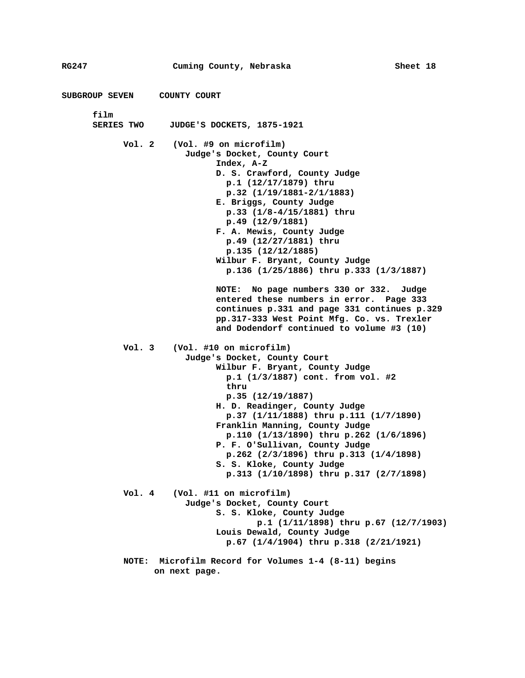```
RG247 Cuming County, Nebraska Sheet 18 
SUBGROUP SEVEN COUNTY COURT 
      film 
      SERIES TWO JUDGE'S DOCKETS, 1875-1921 
            Vol. 2 (Vol. #9 on microfilm) 
                        Judge's Docket, County Court 
                              Index, A-Z 
                              D. S. Crawford, County Judge 
                                 p.1 (12/17/1879) thru 
                                 p.32 (1/19/1881-2/1/1883) 
                              E. Briggs, County Judge 
                                 p.33 (1/8-4/15/1881) thru 
                                 p.49 (12/9/1881) 
                              F. A. Mewis, County Judge 
                                 p.49 (12/27/1881) thru 
                                 p.135 (12/12/1885) 
                              Wilbur F. Bryant, County Judge 
                                 p.136 (1/25/1886) thru p.333 (1/3/1887) 
                              NOTE: No page numbers 330 or 332. Judge 
                              entered these numbers in error. Page 333 
                              continues p.331 and page 331 continues p.329 
                              pp.317-333 West Point Mfg. Co. vs. Trexler 
                              and Dodendorf continued to volume #3 (10) 
            Vol. 3 (Vol. #10 on microfilm) 
                        Judge's Docket, County Court 
                              Wilbur F. Bryant, County Judge 
                                 p.1 (1/3/1887) cont. from vol. #2 
                                 thru 
                                 p.35 (12/19/1887) 
                              H. D. Readinger, County Judge 
                                 p.37 (1/11/1888) thru p.111 (1/7/1890) 
                              Franklin Manning, County Judge 
                                 p.110 (1/13/1890) thru p.262 (1/6/1896) 
                              P. F. O'Sullivan, County Judge 
                                 p.262 (2/3/1896) thru p.313 (1/4/1898) 
                              S. S. Kloke, County Judge 
                                 p.313 (1/10/1898) thru p.317 (2/7/1898) 
            Vol. 4 (Vol. #11 on microfilm) 
                        Judge's Docket, County Court 
                              S. S. Kloke, County Judge 
                                       p.1 (1/11/1898) thru p.67 (12/7/1903) 
                              Louis Dewald, County Judge 
                                 p.67 (1/4/1904) thru p.318 (2/21/1921) 
            NOTE: Microfilm Record for Volumes 1-4 (8-11) begins 
                  on next page.
```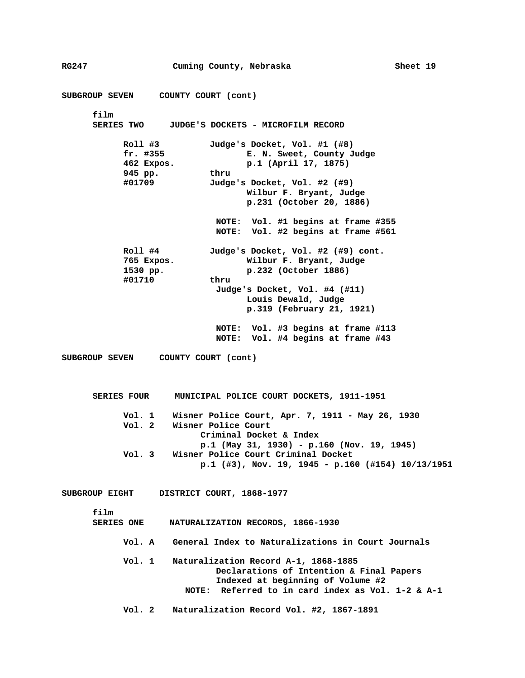**SUBGROUP SEVEN COUNTY COURT (cont) film SERIES TWO JUDGE'S DOCKETS - MICROFILM RECORD Roll #3 Judge's Docket, Vol. #1 (#8) fr. #355 E. N. Sweet, County Judge 462 Expos. p.1 (April 17, 1875) 945 pp. thru #01709 Judge's Docket, Vol. #2 (#9) Wilbur F. Bryant, Judge p.231 (October 20, 1886) NOTE: Vol. #1 begins at frame #355 NOTE: Vol. #2 begins at frame #561 Roll #4 Judge's Docket, Vol. #2 (#9) cont. 765 Expos. Wilbur F. Bryant, Judge 1530 pp. p.232 (October 1886) #01710 thru Judge's Docket, Vol. #4 (#11) Louis Dewald, Judge p.319 (February 21, 1921) NOTE: Vol. #3 begins at frame #113 NOTE: Vol. #4 begins at frame #43 SUBGROUP SEVEN COUNTY COURT (cont) SERIES FOUR MUNICIPAL POLICE COURT DOCKETS, 1911-1951 Vol. 1 Wisner Police Court, Apr. 7, 1911 - May 26, 1930 Vol. 2 Wisner Police Court Criminal Docket & Index p.1 (May 31, 1930) - p.160 (Nov. 19, 1945) Vol. 3 Wisner Police Court Criminal Docket p.1 (#3), Nov. 19, 1945 - p.160 (#154) 10/13/1951 SUBGROUP EIGHT DISTRICT COURT, 1868-1977 film SERIES ONE NATURALIZATION RECORDS, 1866-1930 Vol. A General Index to Naturalizations in Court Journals Vol. 1 Naturalization Record A-1, 1868-1885 Declarations of Intention & Final Papers Indexed at beginning of Volume #2 NOTE: Referred to in card index as Vol. 1-2 & A-1 Vol. 2 Naturalization Record Vol. #2, 1867-1891** 

**RG247 Cuming County, Nebraska Sheet 19**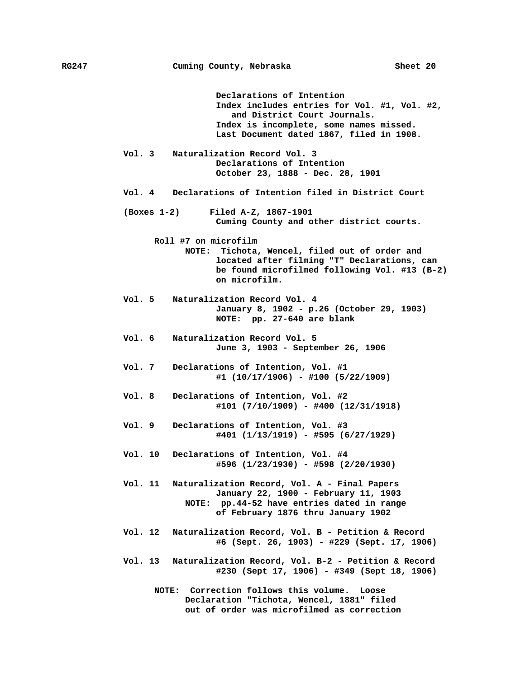**Declarations of Intention Index includes entries for Vol. #1, Vol. #2, and District Court Journals. Index is incomplete, some names missed. Last Document dated 1867, filed in 1908.** 

- **Vol. 3 Naturalization Record Vol. 3 Declarations of Intention October 23, 1888 - Dec. 28, 1901**
- **Vol. 4 Declarations of Intention filed in District Court**
- **(Boxes 1-2) Filed A-Z, 1867-1901 Cuming County and other district courts.** 
	- **Roll #7 on microfilm NOTE: Tichota, Wencel, filed out of order and located after filming "T" Declarations, can be found microfilmed following Vol. #13 (B-2) on microfilm.**
- **Vol. 5 Naturalization Record Vol. 4 January 8, 1902 - p.26 (October 29, 1903) NOTE: pp. 27-640 are blank**
- **Vol. 6 Naturalization Record Vol. 5 June 3, 1903 - September 26, 1906**
- **Vol. 7 Declarations of Intention, Vol. #1 #1 (10/17/1906) - #100 (5/22/1909)**
- **Vol. 8 Declarations of Intention, Vol. #2 #101 (7/10/1909) - #400 (12/31/1918)**
- **Vol. 9 Declarations of Intention, Vol. #3 #401 (1/13/1919) - #595 (6/27/1929)**
- **Vol. 10 Declarations of Intention, Vol. #4 #596 (1/23/1930) - #598 (2/20/1930)**
- **Vol. 11 Naturalization Record, Vol. A Final Papers January 22, 1900 - February 11, 1903 NOTE: pp.44-52 have entries dated in range of February 1876 thru January 1902**
- **Vol. 12 Naturalization Record, Vol. B Petition & Record #6 (Sept. 26, 1903) - #229 (Sept. 17, 1906)**
- **Vol. 13 Naturalization Record, Vol. B-2 Petition & Record #230 (Sept 17, 1906) - #349 (Sept 18, 1906)** 
	- **NOTE: Correction follows this volume. Loose Declaration "Tichota, Wencel, 1881" filed out of order was microfilmed as correction**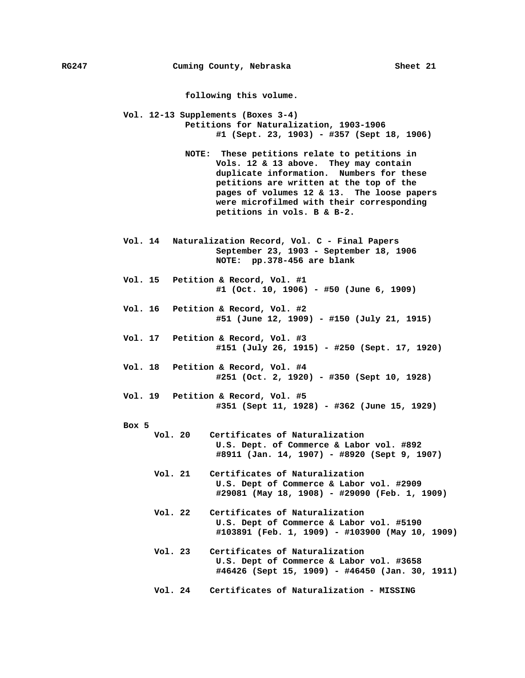**following this volume.** 

**Vol. 12-13 Supplements (Boxes 3-4) Petitions for Naturalization, 1903-1906 #1 (Sept. 23, 1903) - #357 (Sept 18, 1906)** 

- **NOTE: These petitions relate to petitions in Vols. 12 & 13 above. They may contain duplicate information. Numbers for these petitions are written at the top of the pages of volumes 12 & 13. The loose papers were microfilmed with their corresponding petitions in vols. B & B-2.**
- **Vol. 14 Naturalization Record, Vol. C Final Papers September 23, 1903 - September 18, 1906 NOTE: pp.378-456 are blank**
- **Vol. 15 Petition & Record, Vol. #1 #1 (Oct. 10, 1906) - #50 (June 6, 1909)**
- **Vol. 16 Petition & Record, Vol. #2 #51 (June 12, 1909) - #150 (July 21, 1915)**
- **Vol. 17 Petition & Record, Vol. #3 #151 (July 26, 1915) - #250 (Sept. 17, 1920)**
- **Vol. 18 Petition & Record, Vol. #4 #251 (Oct. 2, 1920) - #350 (Sept 10, 1928)**
- **Vol. 19 Petition & Record, Vol. #5 #351 (Sept 11, 1928) - #362 (June 15, 1929)**

**Box 5** 

- **Vol. 20 Certificates of Naturalization U.S. Dept. of Commerce & Labor vol. #892 #8911 (Jan. 14, 1907) - #8920 (Sept 9, 1907)** 
	- **Vol. 21 Certificates of Naturalization U.S. Dept of Commerce & Labor vol. #2909 #29081 (May 18, 1908) - #29090 (Feb. 1, 1909)**
	- **Vol. 22 Certificates of Naturalization U.S. Dept of Commerce & Labor vol. #5190 #103891 (Feb. 1, 1909) - #103900 (May 10, 1909)**
	- **Vol. 23 Certificates of Naturalization U.S. Dept of Commerce & Labor vol. #3658 #46426 (Sept 15, 1909) - #46450 (Jan. 30, 1911)**
	- **Vol. 24 Certificates of Naturalization MISSING**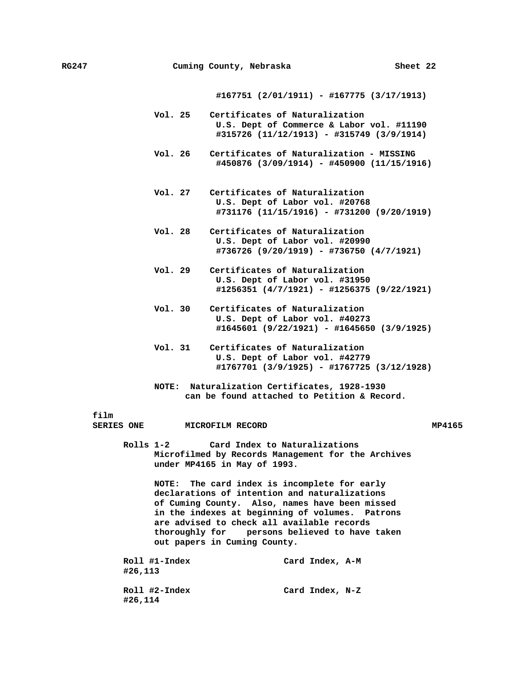**#167751 (2/01/1911) - #167775 (3/17/1913)** 

- **Vol. 25 Certificates of Naturalization U.S. Dept of Commerce & Labor vol. #11190 #315726 (11/12/1913) - #315749 (3/9/1914)**
- **Vol. 26 Certificates of Naturalization MISSING #450876 (3/09/1914) - #450900 (11/15/1916)**
- **Vol. 27 Certificates of Naturalization U.S. Dept of Labor vol. #20768 #731176 (11/15/1916) - #731200 (9/20/1919)**
- **Vol. 28 Certificates of Naturalization U.S. Dept of Labor vol. #20990 #736726 (9/20/1919) - #736750 (4/7/1921)**
- **Vol. 29 Certificates of Naturalization U.S. Dept of Labor vol. #31950 #1256351 (4/7/1921) - #1256375 (9/22/1921)**
- **Vol. 30 Certificates of Naturalization U.S. Dept of Labor vol. #40273 #1645601 (9/22/1921) - #1645650 (3/9/1925)**
- **Vol. 31 Certificates of Naturalization U.S. Dept of Labor vol. #42779 #1767701 (3/9/1925) - #1767725 (3/12/1928)**
- **NOTE: Naturalization Certificates, 1928-1930 can be found attached to Petition & Record.**

**film** 

#### **SERIES ONE MICROFILM RECORD MP4165**

**Rolls 1-2 Card Index to Naturalizations Microfilmed by Records Management for the Archives under MP4165 in May of 1993.** 

> **NOTE: The card index is incomplete for early declarations of intention and naturalizations of Cuming County. Also, names have been missed in the indexes at beginning of volumes. Patrons are advised to check all available records thoroughly for persons believed to have taken out papers in Cuming County.**

| Roll #1-Index<br>#26,113 | Card Index, A-M |  |
|--------------------------|-----------------|--|
| Roll #2-Index<br>#26,114 | Card Index, N-Z |  |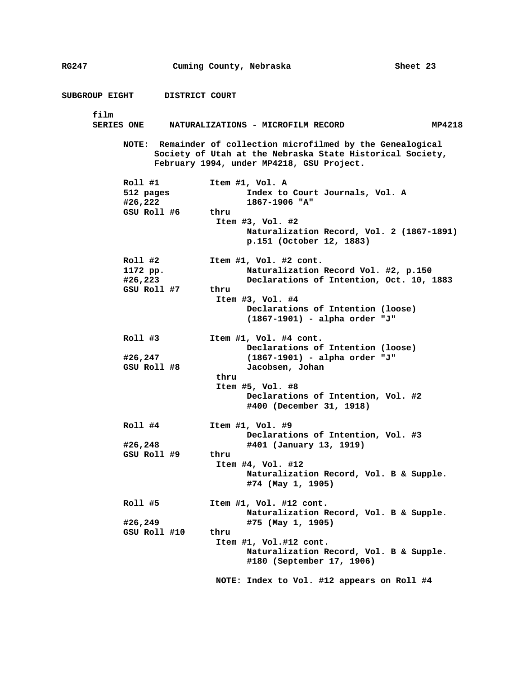| RG247                |                | Cuming County, Nebraska                                                                                                                                                 | Sheet 23                                  |
|----------------------|----------------|-------------------------------------------------------------------------------------------------------------------------------------------------------------------------|-------------------------------------------|
| SUBGROUP EIGHT       | DISTRICT COURT |                                                                                                                                                                         |                                           |
| film                 |                |                                                                                                                                                                         |                                           |
| <b>SERIES ONE</b>    |                | NATURALIZATIONS - MICROFILM RECORD                                                                                                                                      | MP4218                                    |
|                      |                | NOTE: Remainder of collection microfilmed by the Genealogical<br>Society of Utah at the Nebraska State Historical Society,<br>February 1994, under MP4218, GSU Project. |                                           |
| Roll #1              |                | Item #1, Vol. A                                                                                                                                                         |                                           |
| 512 pages<br>#26,222 |                | Index to Court Journals, Vol. A<br>1867-1906 "A"                                                                                                                        |                                           |
|                      | GSU Roll #6    | thru                                                                                                                                                                    |                                           |
|                      |                | Item $#3$ , Vol. $#2$                                                                                                                                                   |                                           |
|                      |                | p.151 (October 12, 1883)                                                                                                                                                | Naturalization Record, Vol. 2 (1867-1891) |
| Roll #2              |                | Item #1, Vol. #2 cont.                                                                                                                                                  |                                           |
| 1172 pp.             |                |                                                                                                                                                                         | Naturalization Record Vol. #2, p.150      |
| #26,223              |                |                                                                                                                                                                         | Declarations of Intention, Oct. 10, 1883  |
| GSU Roll #7          |                | thru                                                                                                                                                                    |                                           |
|                      |                | Item #3, Vol. #4                                                                                                                                                        |                                           |
|                      |                | Declarations of Intention (loose)<br>(1867-1901) - alpha order "J"                                                                                                      |                                           |
| Roll #3              |                | Item #1, Vol. #4 cont.<br>Declarations of Intention (loose)                                                                                                             |                                           |
| #26,247              |                | (1867-1901) - alpha order "J"                                                                                                                                           |                                           |
| GSU Roll #8          |                | Jacobsen, Johan                                                                                                                                                         |                                           |
|                      |                | thru                                                                                                                                                                    |                                           |
|                      |                | Item #5, Vol. #8                                                                                                                                                        |                                           |
|                      |                | #400 (December 31, 1918)                                                                                                                                                | Declarations of Intention, Vol. #2        |
| Roll #4              |                | Item $#1$ , Vol. $#9$                                                                                                                                                   |                                           |
|                      |                | Declarations of Intention, Vol. #3                                                                                                                                      |                                           |
| #26,248              |                | #401 (January 13, 1919)                                                                                                                                                 |                                           |
| GSU Roll #9          |                | thru                                                                                                                                                                    |                                           |
|                      |                | Item $#4$ , Vol. $#12$                                                                                                                                                  |                                           |
|                      |                | #74 (May 1, 1905)                                                                                                                                                       | Naturalization Record, Vol. B & Supple.   |
| Roll #5              |                | Item #1, Vol. #12 cont.                                                                                                                                                 | Naturalization Record, Vol. B & Supple.   |
| #26,249              |                | #75 (May 1, 1905)                                                                                                                                                       |                                           |
|                      | GSU Roll #10   | thru                                                                                                                                                                    |                                           |
|                      |                | Item #1, Vol.#12 cont.                                                                                                                                                  |                                           |
|                      |                | #180 (September 17, 1906)                                                                                                                                               | Naturalization Record, Vol. B & Supple.   |
|                      |                |                                                                                                                                                                         |                                           |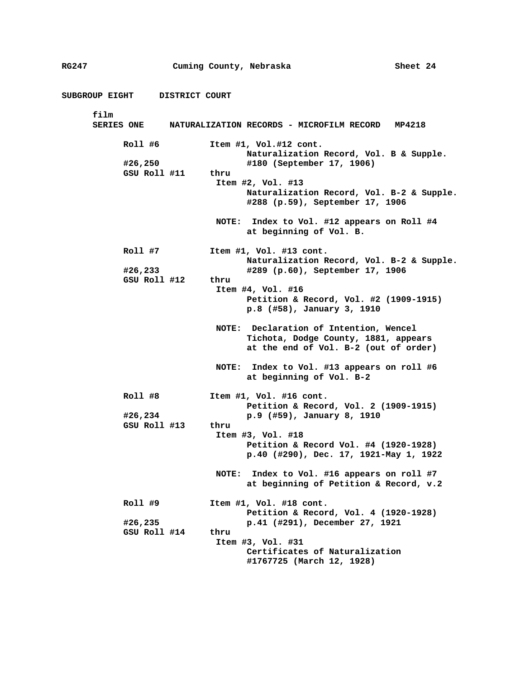**SUBGROUP EIGHT DISTRICT COURT film SERIES ONE NATURALIZATION RECORDS - MICROFILM RECORD MP4218 Roll #6 Item #1, Vol.#12 cont. Naturalization Record, Vol. B & Supple. #26,250 #180 (September 17, 1906) GSU Roll #11 thru Item #2, Vol. #13 Naturalization Record, Vol. B-2 & Supple. #288 (p.59), September 17, 1906 NOTE: Index to Vol. #12 appears on Roll #4 at beginning of Vol. B. Roll #7 Item #1, Vol. #13 cont. Naturalization Record, Vol. B-2 & Supple. #26,233 #289 (p.60), September 17, 1906 GSU Roll #12 thru Item #4, Vol. #16 Petition & Record, Vol. #2 (1909-1915) p.8 (#58), January 3, 1910 NOTE: Declaration of Intention, Wencel Tichota, Dodge County, 1881, appears at the end of Vol. B-2 (out of order) NOTE: Index to Vol. #13 appears on roll #6 at beginning of Vol. B-2 Roll #8 Item #1, Vol. #16 cont. Petition & Record, Vol. 2 (1909-1915) #26,234 p.9 (#59), January 8, 1910 GSU Roll #13 thru Item #3, Vol. #18 Petition & Record Vol. #4 (1920-1928) p.40 (#290), Dec. 17, 1921-May 1, 1922 NOTE: Index to Vol. #16 appears on roll #7 at beginning of Petition & Record, v.2 Roll #9 Item #1, Vol. #18 cont. Petition & Record, Vol. 4 (1920-1928) #26,235 p.41 (#291), December 27, 1921 GSU Roll #14 thru Item #3, Vol. #31 Certificates of Naturalization #1767725 (March 12, 1928)**